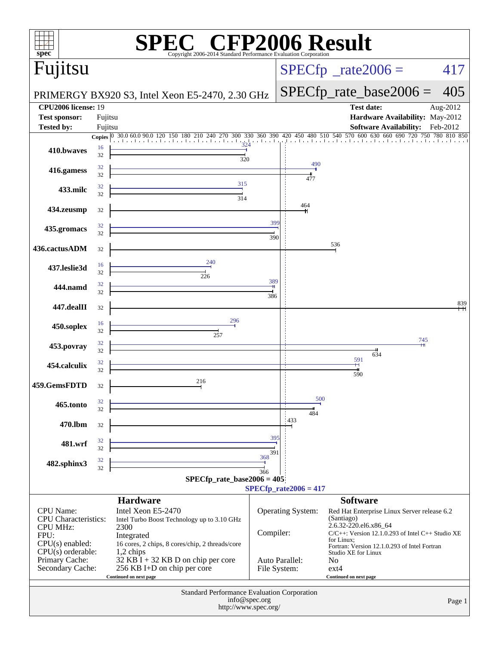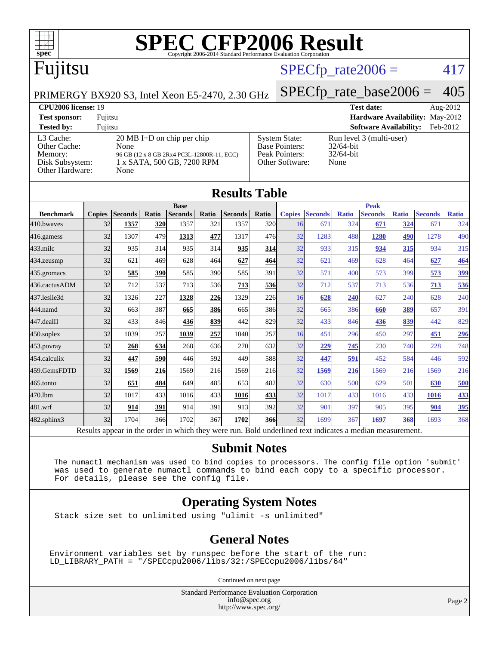

# Fujitsu

### $SPECTp_rate2006 = 417$

#### PRIMERGY BX920 S3, Intel Xeon E5-2470, 2.30 GHz

[SPECfp\\_rate\\_base2006 =](http://www.spec.org/auto/cpu2006/Docs/result-fields.html#SPECfpratebase2006) 405

| <b>CPU2006 license: 19</b>                                                 |                                                                                                                                  |                                                                                    | <b>Test date:</b><br>Aug- $2012$                                 |  |  |  |
|----------------------------------------------------------------------------|----------------------------------------------------------------------------------------------------------------------------------|------------------------------------------------------------------------------------|------------------------------------------------------------------|--|--|--|
| <b>Test sponsor:</b>                                                       | Fujitsu                                                                                                                          |                                                                                    | <b>Hardware Availability: May-2012</b>                           |  |  |  |
| <b>Tested by:</b>                                                          | Fuiitsu                                                                                                                          |                                                                                    | <b>Software Availability:</b><br>Feb-2012                        |  |  |  |
| L3 Cache:<br>Other Cache:<br>Memory:<br>Disk Subsystem:<br>Other Hardware: | $20 \text{ MB I+D}$ on chip per chip<br>None<br>96 GB (12 x 8 GB 2Rx4 PC3L-12800R-11, ECC)<br>1 x SATA, 500 GB, 7200 RPM<br>None | <b>System State:</b><br><b>Base Pointers:</b><br>Peak Pointers:<br>Other Software: | Run level 3 (multi-user)<br>$32/64$ -bit<br>$32/64$ -bit<br>None |  |  |  |

| <b>Results Table</b> |               |                                                                                                          |       |                |       |                |            |               |                |              |                |              |                |              |
|----------------------|---------------|----------------------------------------------------------------------------------------------------------|-------|----------------|-------|----------------|------------|---------------|----------------|--------------|----------------|--------------|----------------|--------------|
|                      | <b>Base</b>   |                                                                                                          |       | <b>Peak</b>    |       |                |            |               |                |              |                |              |                |              |
| <b>Benchmark</b>     | <b>Copies</b> | <b>Seconds</b>                                                                                           | Ratio | <b>Seconds</b> | Ratio | <b>Seconds</b> | Ratio      | <b>Copies</b> | <b>Seconds</b> | <b>Ratio</b> | <b>Seconds</b> | <b>Ratio</b> | <b>Seconds</b> | <b>Ratio</b> |
| 410.bwayes           | 32            | 1357                                                                                                     | 320   | 1357           | 321   | 1357           | 320l       | 16            | 671            | 324          | 671            | 324          | 671            | 324          |
| 416.gamess           | 32            | 1307                                                                                                     | 479   | 1313           | 477   | 1317           | 476        | 32            | 1283           | 488          | 1280           | 490          | 1278           | 490          |
| $433$ .milc          | 32            | 935                                                                                                      | 314   | 935            | 314   | 935            | <b>314</b> | 32            | 933            | 315          | 934            | 315          | 934            | 315          |
| $434$ . zeusmp       | 32            | 621                                                                                                      | 469   | 628            | 464   | 627            | 464        | 32            | 621            | 469          | 628            | 464          | 627            | 464          |
| $435$ . gromacs      | 32            | 585                                                                                                      | 390   | 585            | 390l  | 585            | 391        | 32            | 571            | 400          | 573            | 399          | 573            | 399          |
| 436.cactusADM        | 32            | 712                                                                                                      | 537   | 713            | 536   | 713            | 536        | 32            | 712            | 537          | 713            | 536          | 713            | 536          |
| 437.leslie3d         | 32            | 1326                                                                                                     | 227   | 1328           | 226   | 1329           | <b>226</b> | 16            | 628            | 240          | 627            | 240          | 628            | 240          |
| 444.namd             | 32            | 663                                                                                                      | 387   | 665            | 386   | 665            | 386        | 32            | 665            | 386          | 660            | 389          | 657            | 391          |
| $447$ .dealII        | 32            | 433                                                                                                      | 846   | 436            | 839   | 442            | 829        | 32            | 433            | 846          | 436            | 839          | 442            | 829          |
| $450$ .soplex        | 32            | 1039                                                                                                     | 257   | 1039           | 257   | 1040           | 257        | 16            | 451            | 296          | 450            | 297          | 451            | <u>296</u>   |
| 453.povray           | 32            | 268                                                                                                      | 634   | 268            | 636   | 270            | 632        | 32            | 229            | 745          | 230            | 740          | 228            | 748          |
| 454.calculix         | 32            | 447                                                                                                      | 590   | 446            | 592l  | 449            | 588        | 32            | 447            | 591          | 452            | 584          | 446            | 592          |
| 459.GemsFDTD         | 32            | 1569                                                                                                     | 216   | 1569           | 216   | 1569           | 216        | 32            | 1569           | 216          | 1569           | 216          | 1569           | 216          |
| $465$ .tonto         | 32            | 651                                                                                                      | 484   | 649            | 485I  | 653            | 482        | 32            | 630            | 500          | 629            | 501          | 630            | 500          |
| 470.1bm              | 32            | 1017                                                                                                     | 433   | 1016           | 433   | 1016           | <u>433</u> | 32            | 1017           | 433          | 1016           | 433          | 1016           | 433          |
| 481.wrf              | 32            | 914                                                                                                      | 391   | 914            | 391   | 913            | 392l       | 32            | 901            | 397          | 905            | 395          | 904            | 395          |
| $482$ .sphinx $3$    | 32            | 1704                                                                                                     | 366   | 1702           | 367   | 1702           | <b>366</b> | 32            | 1699           | 367          | 1697           | 368          | 1693           | 368          |
|                      |               | Results appear in the order in which they were run. Bold underlined text indicates a median measurement. |       |                |       |                |            |               |                |              |                |              |                |              |

#### **[Submit Notes](http://www.spec.org/auto/cpu2006/Docs/result-fields.html#SubmitNotes)**

 The numactl mechanism was used to bind copies to processors. The config file option 'submit' was used to generate numactl commands to bind each copy to a specific processor. For details, please see the config file.

#### **[Operating System Notes](http://www.spec.org/auto/cpu2006/Docs/result-fields.html#OperatingSystemNotes)**

Stack size set to unlimited using "ulimit -s unlimited"

#### **[General Notes](http://www.spec.org/auto/cpu2006/Docs/result-fields.html#GeneralNotes)**

Environment variables set by runspec before the start of the run: LD\_LIBRARY\_PATH = "/SPECcpu2006/libs/32:/SPECcpu2006/libs/64"

Continued on next page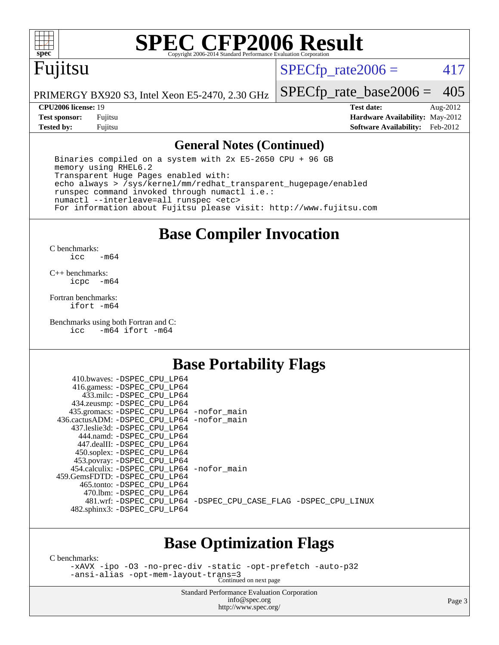

## Fujitsu

 $SPECTp\_rate2006 = 417$ 

PRIMERGY BX920 S3, Intel Xeon E5-2470, 2.30 GHz

[SPECfp\\_rate\\_base2006 =](http://www.spec.org/auto/cpu2006/Docs/result-fields.html#SPECfpratebase2006) 405

**[CPU2006 license:](http://www.spec.org/auto/cpu2006/Docs/result-fields.html#CPU2006license)** 19 **[Test date:](http://www.spec.org/auto/cpu2006/Docs/result-fields.html#Testdate)** Aug-2012 **[Test sponsor:](http://www.spec.org/auto/cpu2006/Docs/result-fields.html#Testsponsor)** Fujitsu **[Hardware Availability:](http://www.spec.org/auto/cpu2006/Docs/result-fields.html#HardwareAvailability)** May-2012 **[Tested by:](http://www.spec.org/auto/cpu2006/Docs/result-fields.html#Testedby)** Fujitsu **[Software Availability:](http://www.spec.org/auto/cpu2006/Docs/result-fields.html#SoftwareAvailability)** Feb-2012

#### **[General Notes \(Continued\)](http://www.spec.org/auto/cpu2006/Docs/result-fields.html#GeneralNotes)**

 Binaries compiled on a system with 2x E5-2650 CPU + 96 GB memory using RHEL6.2 Transparent Huge Pages enabled with: echo always > /sys/kernel/mm/redhat\_transparent\_hugepage/enabled runspec command invoked through numactl i.e.: numactl --interleave=all runspec <etc> For information about Fujitsu please visit: <http://www.fujitsu.com>

### **[Base Compiler Invocation](http://www.spec.org/auto/cpu2006/Docs/result-fields.html#BaseCompilerInvocation)**

[C benchmarks](http://www.spec.org/auto/cpu2006/Docs/result-fields.html#Cbenchmarks): [icc -m64](http://www.spec.org/cpu2006/results/res2012q3/cpu2006-20120806-24079.flags.html#user_CCbase_intel_icc_64bit_0b7121f5ab7cfabee23d88897260401c)

[C++ benchmarks:](http://www.spec.org/auto/cpu2006/Docs/result-fields.html#CXXbenchmarks) [icpc -m64](http://www.spec.org/cpu2006/results/res2012q3/cpu2006-20120806-24079.flags.html#user_CXXbase_intel_icpc_64bit_bedb90c1146cab66620883ef4f41a67e)

[Fortran benchmarks](http://www.spec.org/auto/cpu2006/Docs/result-fields.html#Fortranbenchmarks): [ifort -m64](http://www.spec.org/cpu2006/results/res2012q3/cpu2006-20120806-24079.flags.html#user_FCbase_intel_ifort_64bit_ee9d0fb25645d0210d97eb0527dcc06e)

[Benchmarks using both Fortran and C](http://www.spec.org/auto/cpu2006/Docs/result-fields.html#BenchmarksusingbothFortranandC): [icc -m64](http://www.spec.org/cpu2006/results/res2012q3/cpu2006-20120806-24079.flags.html#user_CC_FCbase_intel_icc_64bit_0b7121f5ab7cfabee23d88897260401c) [ifort -m64](http://www.spec.org/cpu2006/results/res2012q3/cpu2006-20120806-24079.flags.html#user_CC_FCbase_intel_ifort_64bit_ee9d0fb25645d0210d97eb0527dcc06e)

#### **[Base Portability Flags](http://www.spec.org/auto/cpu2006/Docs/result-fields.html#BasePortabilityFlags)**

| 410.bwaves: -DSPEC CPU LP64<br>416.gamess: -DSPEC_CPU_LP64 |                                                                |
|------------------------------------------------------------|----------------------------------------------------------------|
| 433.milc: -DSPEC CPU LP64                                  |                                                                |
| 434.zeusmp: -DSPEC_CPU_LP64                                |                                                                |
| 435.gromacs: -DSPEC_CPU_LP64 -nofor_main                   |                                                                |
| 436.cactusADM: - DSPEC CPU LP64 - nofor main               |                                                                |
| 437.leslie3d: -DSPEC CPU LP64                              |                                                                |
| 444.namd: -DSPEC CPU LP64                                  |                                                                |
| 447.dealII: -DSPEC CPU LP64                                |                                                                |
| 450.soplex: -DSPEC_CPU_LP64                                |                                                                |
| 453.povray: -DSPEC_CPU_LP64                                |                                                                |
| 454.calculix: - DSPEC CPU LP64 - nofor main                |                                                                |
| 459. GemsFDTD: - DSPEC CPU LP64                            |                                                                |
| 465.tonto: - DSPEC CPU LP64                                |                                                                |
| 470.1bm: - DSPEC CPU LP64                                  |                                                                |
|                                                            | 481.wrf: -DSPEC_CPU_LP64 -DSPEC_CPU_CASE_FLAG -DSPEC_CPU_LINUX |
| 482.sphinx3: -DSPEC_CPU_LP64                               |                                                                |
|                                                            |                                                                |

#### **[Base Optimization Flags](http://www.spec.org/auto/cpu2006/Docs/result-fields.html#BaseOptimizationFlags)**

[C benchmarks](http://www.spec.org/auto/cpu2006/Docs/result-fields.html#Cbenchmarks):

[-xAVX](http://www.spec.org/cpu2006/results/res2012q3/cpu2006-20120806-24079.flags.html#user_CCbase_f-xAVX) [-ipo](http://www.spec.org/cpu2006/results/res2012q3/cpu2006-20120806-24079.flags.html#user_CCbase_f-ipo) [-O3](http://www.spec.org/cpu2006/results/res2012q3/cpu2006-20120806-24079.flags.html#user_CCbase_f-O3) [-no-prec-div](http://www.spec.org/cpu2006/results/res2012q3/cpu2006-20120806-24079.flags.html#user_CCbase_f-no-prec-div) [-static](http://www.spec.org/cpu2006/results/res2012q3/cpu2006-20120806-24079.flags.html#user_CCbase_f-static) [-opt-prefetch](http://www.spec.org/cpu2006/results/res2012q3/cpu2006-20120806-24079.flags.html#user_CCbase_f-opt-prefetch) [-auto-p32](http://www.spec.org/cpu2006/results/res2012q3/cpu2006-20120806-24079.flags.html#user_CCbase_f-auto-p32) [-ansi-alias](http://www.spec.org/cpu2006/results/res2012q3/cpu2006-20120806-24079.flags.html#user_CCbase_f-ansi-alias) [-opt-mem-layout-trans=3](http://www.spec.org/cpu2006/results/res2012q3/cpu2006-20120806-24079.flags.html#user_CCbase_f-opt-mem-layout-trans_a7b82ad4bd7abf52556d4961a2ae94d5) Continued on next page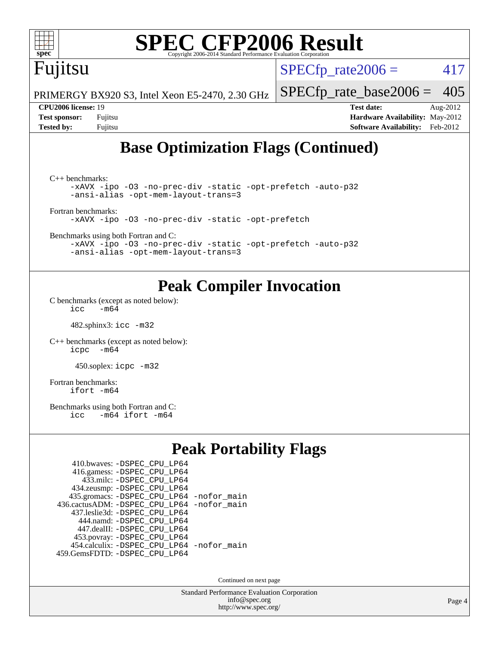# Fujitsu

 $SPECTp\_rate2006 = 417$ 

PRIMERGY BX920 S3, Intel Xeon E5-2470, 2.30 GHz

#### **[CPU2006 license:](http://www.spec.org/auto/cpu2006/Docs/result-fields.html#CPU2006license)** 19 **[Test date:](http://www.spec.org/auto/cpu2006/Docs/result-fields.html#Testdate)** Aug-2012

[SPECfp\\_rate\\_base2006 =](http://www.spec.org/auto/cpu2006/Docs/result-fields.html#SPECfpratebase2006) 405

**[Test sponsor:](http://www.spec.org/auto/cpu2006/Docs/result-fields.html#Testsponsor)** Fujitsu **[Hardware Availability:](http://www.spec.org/auto/cpu2006/Docs/result-fields.html#HardwareAvailability)** May-2012 **[Tested by:](http://www.spec.org/auto/cpu2006/Docs/result-fields.html#Testedby)** Fujitsu **[Software Availability:](http://www.spec.org/auto/cpu2006/Docs/result-fields.html#SoftwareAvailability)** Feb-2012

## **[Base Optimization Flags \(Continued\)](http://www.spec.org/auto/cpu2006/Docs/result-fields.html#BaseOptimizationFlags)**

[C++ benchmarks:](http://www.spec.org/auto/cpu2006/Docs/result-fields.html#CXXbenchmarks) [-xAVX](http://www.spec.org/cpu2006/results/res2012q3/cpu2006-20120806-24079.flags.html#user_CXXbase_f-xAVX) [-ipo](http://www.spec.org/cpu2006/results/res2012q3/cpu2006-20120806-24079.flags.html#user_CXXbase_f-ipo) [-O3](http://www.spec.org/cpu2006/results/res2012q3/cpu2006-20120806-24079.flags.html#user_CXXbase_f-O3) [-no-prec-div](http://www.spec.org/cpu2006/results/res2012q3/cpu2006-20120806-24079.flags.html#user_CXXbase_f-no-prec-div) [-static](http://www.spec.org/cpu2006/results/res2012q3/cpu2006-20120806-24079.flags.html#user_CXXbase_f-static) [-opt-prefetch](http://www.spec.org/cpu2006/results/res2012q3/cpu2006-20120806-24079.flags.html#user_CXXbase_f-opt-prefetch) [-auto-p32](http://www.spec.org/cpu2006/results/res2012q3/cpu2006-20120806-24079.flags.html#user_CXXbase_f-auto-p32) [-ansi-alias](http://www.spec.org/cpu2006/results/res2012q3/cpu2006-20120806-24079.flags.html#user_CXXbase_f-ansi-alias) [-opt-mem-layout-trans=3](http://www.spec.org/cpu2006/results/res2012q3/cpu2006-20120806-24079.flags.html#user_CXXbase_f-opt-mem-layout-trans_a7b82ad4bd7abf52556d4961a2ae94d5) [Fortran benchmarks](http://www.spec.org/auto/cpu2006/Docs/result-fields.html#Fortranbenchmarks): [-xAVX](http://www.spec.org/cpu2006/results/res2012q3/cpu2006-20120806-24079.flags.html#user_FCbase_f-xAVX) [-ipo](http://www.spec.org/cpu2006/results/res2012q3/cpu2006-20120806-24079.flags.html#user_FCbase_f-ipo) [-O3](http://www.spec.org/cpu2006/results/res2012q3/cpu2006-20120806-24079.flags.html#user_FCbase_f-O3) [-no-prec-div](http://www.spec.org/cpu2006/results/res2012q3/cpu2006-20120806-24079.flags.html#user_FCbase_f-no-prec-div) [-static](http://www.spec.org/cpu2006/results/res2012q3/cpu2006-20120806-24079.flags.html#user_FCbase_f-static) [-opt-prefetch](http://www.spec.org/cpu2006/results/res2012q3/cpu2006-20120806-24079.flags.html#user_FCbase_f-opt-prefetch)

[Benchmarks using both Fortran and C](http://www.spec.org/auto/cpu2006/Docs/result-fields.html#BenchmarksusingbothFortranandC):

[-xAVX](http://www.spec.org/cpu2006/results/res2012q3/cpu2006-20120806-24079.flags.html#user_CC_FCbase_f-xAVX) [-ipo](http://www.spec.org/cpu2006/results/res2012q3/cpu2006-20120806-24079.flags.html#user_CC_FCbase_f-ipo) [-O3](http://www.spec.org/cpu2006/results/res2012q3/cpu2006-20120806-24079.flags.html#user_CC_FCbase_f-O3) [-no-prec-div](http://www.spec.org/cpu2006/results/res2012q3/cpu2006-20120806-24079.flags.html#user_CC_FCbase_f-no-prec-div) [-static](http://www.spec.org/cpu2006/results/res2012q3/cpu2006-20120806-24079.flags.html#user_CC_FCbase_f-static) [-opt-prefetch](http://www.spec.org/cpu2006/results/res2012q3/cpu2006-20120806-24079.flags.html#user_CC_FCbase_f-opt-prefetch) [-auto-p32](http://www.spec.org/cpu2006/results/res2012q3/cpu2006-20120806-24079.flags.html#user_CC_FCbase_f-auto-p32) [-ansi-alias](http://www.spec.org/cpu2006/results/res2012q3/cpu2006-20120806-24079.flags.html#user_CC_FCbase_f-ansi-alias) [-opt-mem-layout-trans=3](http://www.spec.org/cpu2006/results/res2012q3/cpu2006-20120806-24079.flags.html#user_CC_FCbase_f-opt-mem-layout-trans_a7b82ad4bd7abf52556d4961a2ae94d5)

#### **[Peak Compiler Invocation](http://www.spec.org/auto/cpu2006/Docs/result-fields.html#PeakCompilerInvocation)**

[C benchmarks \(except as noted below\)](http://www.spec.org/auto/cpu2006/Docs/result-fields.html#Cbenchmarksexceptasnotedbelow):  $\text{icc}$  -m64

482.sphinx3: [icc -m32](http://www.spec.org/cpu2006/results/res2012q3/cpu2006-20120806-24079.flags.html#user_peakCCLD482_sphinx3_intel_icc_a6a621f8d50482236b970c6ac5f55f93)

[C++ benchmarks \(except as noted below\):](http://www.spec.org/auto/cpu2006/Docs/result-fields.html#CXXbenchmarksexceptasnotedbelow) [icpc -m64](http://www.spec.org/cpu2006/results/res2012q3/cpu2006-20120806-24079.flags.html#user_CXXpeak_intel_icpc_64bit_bedb90c1146cab66620883ef4f41a67e)

450.soplex: [icpc -m32](http://www.spec.org/cpu2006/results/res2012q3/cpu2006-20120806-24079.flags.html#user_peakCXXLD450_soplex_intel_icpc_4e5a5ef1a53fd332b3c49e69c3330699)

[Fortran benchmarks](http://www.spec.org/auto/cpu2006/Docs/result-fields.html#Fortranbenchmarks): [ifort -m64](http://www.spec.org/cpu2006/results/res2012q3/cpu2006-20120806-24079.flags.html#user_FCpeak_intel_ifort_64bit_ee9d0fb25645d0210d97eb0527dcc06e)

[Benchmarks using both Fortran and C](http://www.spec.org/auto/cpu2006/Docs/result-fields.html#BenchmarksusingbothFortranandC):<br>icc -m64 ifort -m64  $-m64$  ifort  $-m64$ 

### **[Peak Portability Flags](http://www.spec.org/auto/cpu2006/Docs/result-fields.html#PeakPortabilityFlags)**

| 410.bwaves: - DSPEC CPU LP64                |  |
|---------------------------------------------|--|
| 416.gamess: -DSPEC_CPU_LP64                 |  |
| 433.milc: - DSPEC_CPU LP64                  |  |
| 434.zeusmp: -DSPEC_CPU_LP64                 |  |
| 435.gromacs: -DSPEC_CPU_LP64 -nofor_main    |  |
| 436.cactusADM: -DSPEC CPU LP64 -nofor main  |  |
| 437.leslie3d: -DSPEC CPU LP64               |  |
| 444.namd: - DSPEC CPU LP64                  |  |
| 447.dealII: -DSPEC CPU LP64                 |  |
| 453.povray: -DSPEC_CPU_LP64                 |  |
| 454.calculix: - DSPEC CPU LP64 - nofor main |  |
| 459.GemsFDTD: - DSPEC_CPU_LP64              |  |

Continued on next page

Standard Performance Evaluation Corporation [info@spec.org](mailto:info@spec.org) <http://www.spec.org/>

Page 4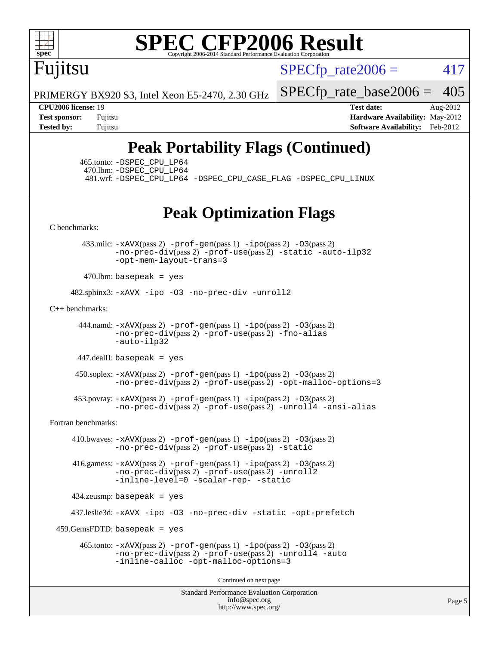

Fujitsu

 $SPECTp\_rate2006 = 417$ 

PRIMERGY BX920 S3, Intel Xeon E5-2470, 2.30 GHz

**[CPU2006 license:](http://www.spec.org/auto/cpu2006/Docs/result-fields.html#CPU2006license)** 19 **[Test date:](http://www.spec.org/auto/cpu2006/Docs/result-fields.html#Testdate)** Aug-2012

[SPECfp\\_rate\\_base2006 =](http://www.spec.org/auto/cpu2006/Docs/result-fields.html#SPECfpratebase2006) 405

**[Test sponsor:](http://www.spec.org/auto/cpu2006/Docs/result-fields.html#Testsponsor)** Fujitsu **[Hardware Availability:](http://www.spec.org/auto/cpu2006/Docs/result-fields.html#HardwareAvailability)** May-2012 **[Tested by:](http://www.spec.org/auto/cpu2006/Docs/result-fields.html#Testedby)** Fujitsu **[Software Availability:](http://www.spec.org/auto/cpu2006/Docs/result-fields.html#SoftwareAvailability)** Feb-2012

## **[Peak Portability Flags \(Continued\)](http://www.spec.org/auto/cpu2006/Docs/result-fields.html#PeakPortabilityFlags)**

 465.tonto: [-DSPEC\\_CPU\\_LP64](http://www.spec.org/cpu2006/results/res2012q3/cpu2006-20120806-24079.flags.html#suite_peakPORTABILITY465_tonto_DSPEC_CPU_LP64) 470.lbm: [-DSPEC\\_CPU\\_LP64](http://www.spec.org/cpu2006/results/res2012q3/cpu2006-20120806-24079.flags.html#suite_peakPORTABILITY470_lbm_DSPEC_CPU_LP64)

481.wrf: [-DSPEC\\_CPU\\_LP64](http://www.spec.org/cpu2006/results/res2012q3/cpu2006-20120806-24079.flags.html#suite_peakPORTABILITY481_wrf_DSPEC_CPU_LP64) [-DSPEC\\_CPU\\_CASE\\_FLAG](http://www.spec.org/cpu2006/results/res2012q3/cpu2006-20120806-24079.flags.html#b481.wrf_peakCPORTABILITY_DSPEC_CPU_CASE_FLAG) [-DSPEC\\_CPU\\_LINUX](http://www.spec.org/cpu2006/results/res2012q3/cpu2006-20120806-24079.flags.html#b481.wrf_peakCPORTABILITY_DSPEC_CPU_LINUX)

### **[Peak Optimization Flags](http://www.spec.org/auto/cpu2006/Docs/result-fields.html#PeakOptimizationFlags)**

[C benchmarks](http://www.spec.org/auto/cpu2006/Docs/result-fields.html#Cbenchmarks):

 433.milc: [-xAVX](http://www.spec.org/cpu2006/results/res2012q3/cpu2006-20120806-24079.flags.html#user_peakPASS2_CFLAGSPASS2_LDFLAGS433_milc_f-xAVX)(pass 2) [-prof-gen](http://www.spec.org/cpu2006/results/res2012q3/cpu2006-20120806-24079.flags.html#user_peakPASS1_CFLAGSPASS1_LDFLAGS433_milc_prof_gen_e43856698f6ca7b7e442dfd80e94a8fc)(pass 1) [-ipo](http://www.spec.org/cpu2006/results/res2012q3/cpu2006-20120806-24079.flags.html#user_peakPASS2_CFLAGSPASS2_LDFLAGS433_milc_f-ipo)(pass 2) [-O3](http://www.spec.org/cpu2006/results/res2012q3/cpu2006-20120806-24079.flags.html#user_peakPASS2_CFLAGSPASS2_LDFLAGS433_milc_f-O3)(pass 2) [-no-prec-div](http://www.spec.org/cpu2006/results/res2012q3/cpu2006-20120806-24079.flags.html#user_peakPASS2_CFLAGSPASS2_LDFLAGS433_milc_f-no-prec-div)(pass 2) [-prof-use](http://www.spec.org/cpu2006/results/res2012q3/cpu2006-20120806-24079.flags.html#user_peakPASS2_CFLAGSPASS2_LDFLAGS433_milc_prof_use_bccf7792157ff70d64e32fe3e1250b55)(pass 2) [-static](http://www.spec.org/cpu2006/results/res2012q3/cpu2006-20120806-24079.flags.html#user_peakOPTIMIZE433_milc_f-static) [-auto-ilp32](http://www.spec.org/cpu2006/results/res2012q3/cpu2006-20120806-24079.flags.html#user_peakCOPTIMIZE433_milc_f-auto-ilp32) [-opt-mem-layout-trans=3](http://www.spec.org/cpu2006/results/res2012q3/cpu2006-20120806-24079.flags.html#user_peakCOPTIMIZE433_milc_f-opt-mem-layout-trans_a7b82ad4bd7abf52556d4961a2ae94d5)

 $470$ .lbm: basepeak = yes

482.sphinx3: [-xAVX](http://www.spec.org/cpu2006/results/res2012q3/cpu2006-20120806-24079.flags.html#user_peakOPTIMIZE482_sphinx3_f-xAVX) [-ipo](http://www.spec.org/cpu2006/results/res2012q3/cpu2006-20120806-24079.flags.html#user_peakOPTIMIZE482_sphinx3_f-ipo) [-O3](http://www.spec.org/cpu2006/results/res2012q3/cpu2006-20120806-24079.flags.html#user_peakOPTIMIZE482_sphinx3_f-O3) [-no-prec-div](http://www.spec.org/cpu2006/results/res2012q3/cpu2006-20120806-24079.flags.html#user_peakOPTIMIZE482_sphinx3_f-no-prec-div) [-unroll2](http://www.spec.org/cpu2006/results/res2012q3/cpu2006-20120806-24079.flags.html#user_peakCOPTIMIZE482_sphinx3_f-unroll_784dae83bebfb236979b41d2422d7ec2)

[C++ benchmarks:](http://www.spec.org/auto/cpu2006/Docs/result-fields.html#CXXbenchmarks)

 444.namd: [-xAVX](http://www.spec.org/cpu2006/results/res2012q3/cpu2006-20120806-24079.flags.html#user_peakPASS2_CXXFLAGSPASS2_LDFLAGS444_namd_f-xAVX)(pass 2) [-prof-gen](http://www.spec.org/cpu2006/results/res2012q3/cpu2006-20120806-24079.flags.html#user_peakPASS1_CXXFLAGSPASS1_LDFLAGS444_namd_prof_gen_e43856698f6ca7b7e442dfd80e94a8fc)(pass 1) [-ipo](http://www.spec.org/cpu2006/results/res2012q3/cpu2006-20120806-24079.flags.html#user_peakPASS2_CXXFLAGSPASS2_LDFLAGS444_namd_f-ipo)(pass 2) [-O3](http://www.spec.org/cpu2006/results/res2012q3/cpu2006-20120806-24079.flags.html#user_peakPASS2_CXXFLAGSPASS2_LDFLAGS444_namd_f-O3)(pass 2) [-no-prec-div](http://www.spec.org/cpu2006/results/res2012q3/cpu2006-20120806-24079.flags.html#user_peakPASS2_CXXFLAGSPASS2_LDFLAGS444_namd_f-no-prec-div)(pass 2) [-prof-use](http://www.spec.org/cpu2006/results/res2012q3/cpu2006-20120806-24079.flags.html#user_peakPASS2_CXXFLAGSPASS2_LDFLAGS444_namd_prof_use_bccf7792157ff70d64e32fe3e1250b55)(pass 2) [-fno-alias](http://www.spec.org/cpu2006/results/res2012q3/cpu2006-20120806-24079.flags.html#user_peakCXXOPTIMIZE444_namd_f-no-alias_694e77f6c5a51e658e82ccff53a9e63a) [-auto-ilp32](http://www.spec.org/cpu2006/results/res2012q3/cpu2006-20120806-24079.flags.html#user_peakCXXOPTIMIZE444_namd_f-auto-ilp32)

447.dealII: basepeak = yes

 450.soplex: [-xAVX](http://www.spec.org/cpu2006/results/res2012q3/cpu2006-20120806-24079.flags.html#user_peakPASS2_CXXFLAGSPASS2_LDFLAGS450_soplex_f-xAVX)(pass 2) [-prof-gen](http://www.spec.org/cpu2006/results/res2012q3/cpu2006-20120806-24079.flags.html#user_peakPASS1_CXXFLAGSPASS1_LDFLAGS450_soplex_prof_gen_e43856698f6ca7b7e442dfd80e94a8fc)(pass 1) [-ipo](http://www.spec.org/cpu2006/results/res2012q3/cpu2006-20120806-24079.flags.html#user_peakPASS2_CXXFLAGSPASS2_LDFLAGS450_soplex_f-ipo)(pass 2) [-O3](http://www.spec.org/cpu2006/results/res2012q3/cpu2006-20120806-24079.flags.html#user_peakPASS2_CXXFLAGSPASS2_LDFLAGS450_soplex_f-O3)(pass 2) [-no-prec-div](http://www.spec.org/cpu2006/results/res2012q3/cpu2006-20120806-24079.flags.html#user_peakPASS2_CXXFLAGSPASS2_LDFLAGS450_soplex_f-no-prec-div)(pass 2) [-prof-use](http://www.spec.org/cpu2006/results/res2012q3/cpu2006-20120806-24079.flags.html#user_peakPASS2_CXXFLAGSPASS2_LDFLAGS450_soplex_prof_use_bccf7792157ff70d64e32fe3e1250b55)(pass 2) [-opt-malloc-options=3](http://www.spec.org/cpu2006/results/res2012q3/cpu2006-20120806-24079.flags.html#user_peakOPTIMIZE450_soplex_f-opt-malloc-options_13ab9b803cf986b4ee62f0a5998c2238)

 453.povray: [-xAVX](http://www.spec.org/cpu2006/results/res2012q3/cpu2006-20120806-24079.flags.html#user_peakPASS2_CXXFLAGSPASS2_LDFLAGS453_povray_f-xAVX)(pass 2) [-prof-gen](http://www.spec.org/cpu2006/results/res2012q3/cpu2006-20120806-24079.flags.html#user_peakPASS1_CXXFLAGSPASS1_LDFLAGS453_povray_prof_gen_e43856698f6ca7b7e442dfd80e94a8fc)(pass 1) [-ipo](http://www.spec.org/cpu2006/results/res2012q3/cpu2006-20120806-24079.flags.html#user_peakPASS2_CXXFLAGSPASS2_LDFLAGS453_povray_f-ipo)(pass 2) [-O3](http://www.spec.org/cpu2006/results/res2012q3/cpu2006-20120806-24079.flags.html#user_peakPASS2_CXXFLAGSPASS2_LDFLAGS453_povray_f-O3)(pass 2) [-no-prec-div](http://www.spec.org/cpu2006/results/res2012q3/cpu2006-20120806-24079.flags.html#user_peakPASS2_CXXFLAGSPASS2_LDFLAGS453_povray_f-no-prec-div)(pass 2) [-prof-use](http://www.spec.org/cpu2006/results/res2012q3/cpu2006-20120806-24079.flags.html#user_peakPASS2_CXXFLAGSPASS2_LDFLAGS453_povray_prof_use_bccf7792157ff70d64e32fe3e1250b55)(pass 2) [-unroll4](http://www.spec.org/cpu2006/results/res2012q3/cpu2006-20120806-24079.flags.html#user_peakCXXOPTIMIZE453_povray_f-unroll_4e5e4ed65b7fd20bdcd365bec371b81f) [-ansi-alias](http://www.spec.org/cpu2006/results/res2012q3/cpu2006-20120806-24079.flags.html#user_peakCXXOPTIMIZE453_povray_f-ansi-alias)

[Fortran benchmarks](http://www.spec.org/auto/cpu2006/Docs/result-fields.html#Fortranbenchmarks):

 410.bwaves: [-xAVX](http://www.spec.org/cpu2006/results/res2012q3/cpu2006-20120806-24079.flags.html#user_peakPASS2_FFLAGSPASS2_LDFLAGS410_bwaves_f-xAVX)(pass 2) [-prof-gen](http://www.spec.org/cpu2006/results/res2012q3/cpu2006-20120806-24079.flags.html#user_peakPASS1_FFLAGSPASS1_LDFLAGS410_bwaves_prof_gen_e43856698f6ca7b7e442dfd80e94a8fc)(pass 1) [-ipo](http://www.spec.org/cpu2006/results/res2012q3/cpu2006-20120806-24079.flags.html#user_peakPASS2_FFLAGSPASS2_LDFLAGS410_bwaves_f-ipo)(pass 2) [-O3](http://www.spec.org/cpu2006/results/res2012q3/cpu2006-20120806-24079.flags.html#user_peakPASS2_FFLAGSPASS2_LDFLAGS410_bwaves_f-O3)(pass 2) [-no-prec-div](http://www.spec.org/cpu2006/results/res2012q3/cpu2006-20120806-24079.flags.html#user_peakPASS2_FFLAGSPASS2_LDFLAGS410_bwaves_f-no-prec-div)(pass 2) [-prof-use](http://www.spec.org/cpu2006/results/res2012q3/cpu2006-20120806-24079.flags.html#user_peakPASS2_FFLAGSPASS2_LDFLAGS410_bwaves_prof_use_bccf7792157ff70d64e32fe3e1250b55)(pass 2) [-static](http://www.spec.org/cpu2006/results/res2012q3/cpu2006-20120806-24079.flags.html#user_peakOPTIMIZE410_bwaves_f-static)

 416.gamess: [-xAVX](http://www.spec.org/cpu2006/results/res2012q3/cpu2006-20120806-24079.flags.html#user_peakPASS2_FFLAGSPASS2_LDFLAGS416_gamess_f-xAVX)(pass 2) [-prof-gen](http://www.spec.org/cpu2006/results/res2012q3/cpu2006-20120806-24079.flags.html#user_peakPASS1_FFLAGSPASS1_LDFLAGS416_gamess_prof_gen_e43856698f6ca7b7e442dfd80e94a8fc)(pass 1) [-ipo](http://www.spec.org/cpu2006/results/res2012q3/cpu2006-20120806-24079.flags.html#user_peakPASS2_FFLAGSPASS2_LDFLAGS416_gamess_f-ipo)(pass 2) [-O3](http://www.spec.org/cpu2006/results/res2012q3/cpu2006-20120806-24079.flags.html#user_peakPASS2_FFLAGSPASS2_LDFLAGS416_gamess_f-O3)(pass 2) [-no-prec-div](http://www.spec.org/cpu2006/results/res2012q3/cpu2006-20120806-24079.flags.html#user_peakPASS2_FFLAGSPASS2_LDFLAGS416_gamess_f-no-prec-div)(pass 2) [-prof-use](http://www.spec.org/cpu2006/results/res2012q3/cpu2006-20120806-24079.flags.html#user_peakPASS2_FFLAGSPASS2_LDFLAGS416_gamess_prof_use_bccf7792157ff70d64e32fe3e1250b55)(pass 2) [-unroll2](http://www.spec.org/cpu2006/results/res2012q3/cpu2006-20120806-24079.flags.html#user_peakOPTIMIZE416_gamess_f-unroll_784dae83bebfb236979b41d2422d7ec2) [-inline-level=0](http://www.spec.org/cpu2006/results/res2012q3/cpu2006-20120806-24079.flags.html#user_peakOPTIMIZE416_gamess_f-inline-level_318d07a09274ad25e8d15dbfaa68ba50) [-scalar-rep-](http://www.spec.org/cpu2006/results/res2012q3/cpu2006-20120806-24079.flags.html#user_peakOPTIMIZE416_gamess_f-disablescalarrep_abbcad04450fb118e4809c81d83c8a1d) [-static](http://www.spec.org/cpu2006/results/res2012q3/cpu2006-20120806-24079.flags.html#user_peakOPTIMIZE416_gamess_f-static)

434.zeusmp: basepeak = yes

437.leslie3d: [-xAVX](http://www.spec.org/cpu2006/results/res2012q3/cpu2006-20120806-24079.flags.html#user_peakOPTIMIZE437_leslie3d_f-xAVX) [-ipo](http://www.spec.org/cpu2006/results/res2012q3/cpu2006-20120806-24079.flags.html#user_peakOPTIMIZE437_leslie3d_f-ipo) [-O3](http://www.spec.org/cpu2006/results/res2012q3/cpu2006-20120806-24079.flags.html#user_peakOPTIMIZE437_leslie3d_f-O3) [-no-prec-div](http://www.spec.org/cpu2006/results/res2012q3/cpu2006-20120806-24079.flags.html#user_peakOPTIMIZE437_leslie3d_f-no-prec-div) [-static](http://www.spec.org/cpu2006/results/res2012q3/cpu2006-20120806-24079.flags.html#user_peakOPTIMIZE437_leslie3d_f-static) [-opt-prefetch](http://www.spec.org/cpu2006/results/res2012q3/cpu2006-20120806-24079.flags.html#user_peakOPTIMIZE437_leslie3d_f-opt-prefetch)

 $459.GemsFDTD: basepeak = yes$ 

 465.tonto: [-xAVX](http://www.spec.org/cpu2006/results/res2012q3/cpu2006-20120806-24079.flags.html#user_peakPASS2_FFLAGSPASS2_LDFLAGS465_tonto_f-xAVX)(pass 2) [-prof-gen](http://www.spec.org/cpu2006/results/res2012q3/cpu2006-20120806-24079.flags.html#user_peakPASS1_FFLAGSPASS1_LDFLAGS465_tonto_prof_gen_e43856698f6ca7b7e442dfd80e94a8fc)(pass 1) [-ipo](http://www.spec.org/cpu2006/results/res2012q3/cpu2006-20120806-24079.flags.html#user_peakPASS2_FFLAGSPASS2_LDFLAGS465_tonto_f-ipo)(pass 2) [-O3](http://www.spec.org/cpu2006/results/res2012q3/cpu2006-20120806-24079.flags.html#user_peakPASS2_FFLAGSPASS2_LDFLAGS465_tonto_f-O3)(pass 2) [-no-prec-div](http://www.spec.org/cpu2006/results/res2012q3/cpu2006-20120806-24079.flags.html#user_peakPASS2_FFLAGSPASS2_LDFLAGS465_tonto_f-no-prec-div)(pass 2) [-prof-use](http://www.spec.org/cpu2006/results/res2012q3/cpu2006-20120806-24079.flags.html#user_peakPASS2_FFLAGSPASS2_LDFLAGS465_tonto_prof_use_bccf7792157ff70d64e32fe3e1250b55)(pass 2) [-unroll4](http://www.spec.org/cpu2006/results/res2012q3/cpu2006-20120806-24079.flags.html#user_peakOPTIMIZE465_tonto_f-unroll_4e5e4ed65b7fd20bdcd365bec371b81f) [-auto](http://www.spec.org/cpu2006/results/res2012q3/cpu2006-20120806-24079.flags.html#user_peakOPTIMIZE465_tonto_f-auto) [-inline-calloc](http://www.spec.org/cpu2006/results/res2012q3/cpu2006-20120806-24079.flags.html#user_peakOPTIMIZE465_tonto_f-inline-calloc) [-opt-malloc-options=3](http://www.spec.org/cpu2006/results/res2012q3/cpu2006-20120806-24079.flags.html#user_peakOPTIMIZE465_tonto_f-opt-malloc-options_13ab9b803cf986b4ee62f0a5998c2238)

Continued on next page